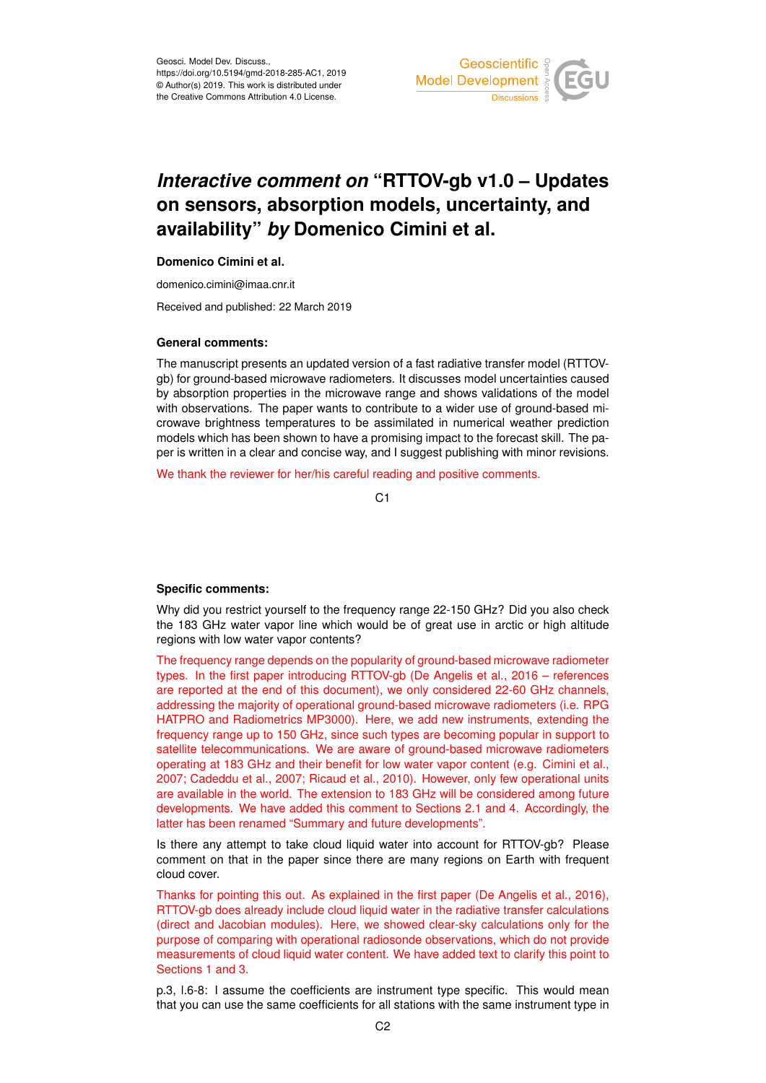

# *Interactive comment on* **"RTTOV-gb v1.0 – Updates on sensors, absorption models, uncertainty, and availability"** *by* **Domenico Cimini et al.**

## **Domenico Cimini et al.**

domenico.cimini@imaa.cnr.it

Received and published: 22 March 2019

#### **General comments:**

The manuscript presents an updated version of a fast radiative transfer model (RTTOVgb) for ground-based microwave radiometers. It discusses model uncertainties caused by absorption properties in the microwave range and shows validations of the model with observations. The paper wants to contribute to a wider use of ground-based microwave brightness temperatures to be assimilated in numerical weather prediction models which has been shown to have a promising impact to the forecast skill. The paper is written in a clear and concise way, and I suggest publishing with minor revisions.

We thank the reviewer for her/his careful reading and positive comments.

 $C<sub>1</sub>$ 

### **Specific comments:**

Why did you restrict yourself to the frequency range 22-150 GHz? Did you also check the 183 GHz water vapor line which would be of great use in arctic or high altitude regions with low water vapor contents?

The frequency range depends on the popularity of ground-based microwave radiometer types. In the first paper introducing RTTOV-gb (De Angelis et al., 2016 – references are reported at the end of this document), we only considered 22-60 GHz channels, addressing the majority of operational ground-based microwave radiometers (i.e. RPG HATPRO and Radiometrics MP3000). Here, we add new instruments, extending the frequency range up to 150 GHz, since such types are becoming popular in support to satellite telecommunications. We are aware of ground-based microwave radiometers operating at 183 GHz and their benefit for low water vapor content (e.g. Cimini et al., 2007; Cadeddu et al., 2007; Ricaud et al., 2010). However, only few operational units are available in the world. The extension to 183 GHz will be considered among future developments. We have added this comment to Sections 2.1 and 4. Accordingly, the latter has been renamed "Summary and future developments".

Is there any attempt to take cloud liquid water into account for RTTOV-gb? Please comment on that in the paper since there are many regions on Earth with frequent cloud cover.

Thanks for pointing this out. As explained in the first paper (De Angelis et al., 2016), RTTOV-gb does already include cloud liquid water in the radiative transfer calculations (direct and Jacobian modules). Here, we showed clear-sky calculations only for the purpose of comparing with operational radiosonde observations, which do not provide measurements of cloud liquid water content. We have added text to clarify this point to Sections 1 and 3.

p.3, l.6-8: I assume the coefficients are instrument type specific. This would mean that you can use the same coefficients for all stations with the same instrument type in